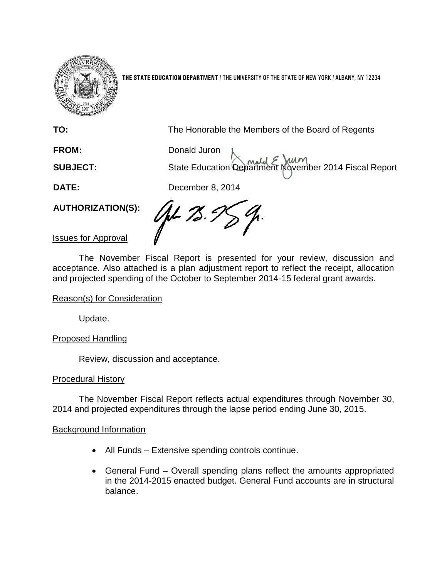

**THE STATE EDUCATION DEPARTMENT** / THE UNIVERSITY OF THE STATE OF NEW YORK / ALBANY, NY 12234

**TO:** The Honorable the Members of the Board of Regents

FROM: Donald Juron **SUBJECT:** State Education Department November 2014 Fiscal Report

**DATE:** December 8, 2014

**AUTHORIZATION(S):**

JH 75.

Issues for Approval

The November Fiscal Report is presented for your review, discussion and acceptance. Also attached is a plan adjustment report to reflect the receipt, allocation and projected spending of the October to September 2014-15 federal grant awards.

#### Reason(s) for Consideration

Update.

Proposed Handling

Review, discussion and acceptance.

#### Procedural History

The November Fiscal Report reflects actual expenditures through November 30, 2014 and projected expenditures through the lapse period ending June 30, 2015.

#### Background Information

- All Funds Extensive spending controls continue.
- General Fund Overall spending plans reflect the amounts appropriated in the 2014-2015 enacted budget. General Fund accounts are in structural balance.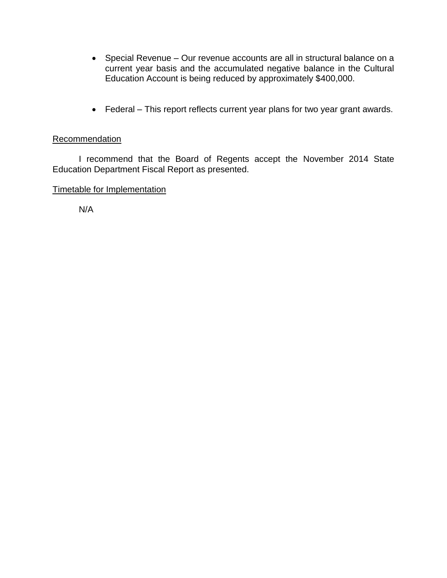- Special Revenue Our revenue accounts are all in structural balance on a current year basis and the accumulated negative balance in the Cultural Education Account is being reduced by approximately \$400,000.
- Federal This report reflects current year plans for two year grant awards.

#### Recommendation

I recommend that the Board of Regents accept the November 2014 State Education Department Fiscal Report as presented.

#### Timetable for Implementation

N/A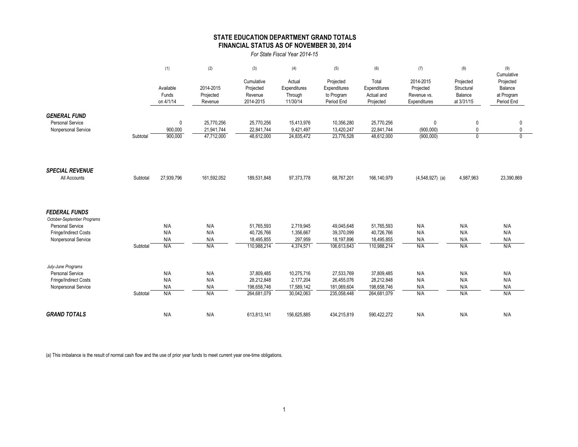|                            |          | (1)                | (2)                      | (3)                      | (4)                     | (5)                      | (6)                      | (7)                    | (8)                                  | (9)                           |
|----------------------------|----------|--------------------|--------------------------|--------------------------|-------------------------|--------------------------|--------------------------|------------------------|--------------------------------------|-------------------------------|
|                            |          |                    |                          | Cumulative               | Actual                  | Projected                | Total                    | 2014-2015              | Projected                            | Cumulative<br>Projected       |
|                            |          | Available          | 2014-2015                | Projected                | <b>Expenditures</b>     | Expenditures             | Expenditures             | Projected              | Structural                           | <b>Balance</b>                |
|                            |          | Funds              | Projected                | Revenue                  | Through                 | to Program               | Actual and               | Revenue vs.            | Balance                              | at Program                    |
|                            |          | on 4/1/14          | Revenue                  | 2014-2015                | 11/30/14                | Period End               | Projected                | Expenditures           | at 3/31/15                           | Period End                    |
|                            |          |                    |                          |                          |                         |                          |                          |                        |                                      |                               |
| <b>GENERAL FUND</b>        |          |                    |                          |                          |                         |                          |                          |                        |                                      |                               |
| <b>Personal Service</b>    |          | $\mathbf 0$        | 25,770,256               | 25,770,256               | 15,413,976<br>9,421,497 | 10,356,280<br>13,420,247 | 25,770,256<br>22,841,744 | $\mathbf 0$            | $\boldsymbol{0}$<br>$\boldsymbol{0}$ | $\overline{0}$<br>$\mathbf 0$ |
| Nonpersonal Service        | Subtotal | 900,000<br>900,000 | 21,941,744<br>47,712,000 | 22,841,744<br>48,612,000 | 24,835,472              | 23,776,528               | 48,612,000               | (900,000)<br>(900,000) | $\mathbf 0$                          | $\mathbf{0}$                  |
|                            |          |                    |                          |                          |                         |                          |                          |                        |                                      |                               |
|                            |          |                    |                          |                          |                         |                          |                          |                        |                                      |                               |
|                            |          |                    |                          |                          |                         |                          |                          |                        |                                      |                               |
| <b>SPECIAL REVENUE</b>     |          |                    |                          |                          |                         |                          |                          |                        |                                      |                               |
| All Accounts               | Subtotal | 27,939,796         | 161,592,052              | 189,531,848              | 97,373,778              | 68,767,201               | 166,140,979              | $(4,548,927)$ (a)      | 4,987,963                            | 23,390,869                    |
|                            |          |                    |                          |                          |                         |                          |                          |                        |                                      |                               |
|                            |          |                    |                          |                          |                         |                          |                          |                        |                                      |                               |
|                            |          |                    |                          |                          |                         |                          |                          |                        |                                      |                               |
| <b>FEDERAL FUNDS</b>       |          |                    |                          |                          |                         |                          |                          |                        |                                      |                               |
| October-September Programs |          |                    |                          |                          |                         |                          |                          |                        |                                      |                               |
| <b>Personal Service</b>    |          | N/A                | N/A                      | 51,765,593               | 2,719,945               | 49,045,648               | 51,765,593               | N/A                    | N/A                                  | N/A                           |
| Fringe/Indirect Costs      |          | N/A                | N/A                      | 40,726,766               | 1,356,667               | 39,370,099               | 40,726,766               | N/A                    | N/A                                  | N/A                           |
| Nonpersonal Service        |          | N/A                | N/A                      | 18,495,855               | 297,959                 | 18,197,896               | 18,495,855               | N/A                    | N/A                                  | N/A                           |
|                            | Subtotal | N/A                | N/A                      | 110,988,214              | 4,374,571               | 106,613,643              | 110,988,214              | N/A                    | N/A                                  | N/A                           |
|                            |          |                    |                          |                          |                         |                          |                          |                        |                                      |                               |
| July-June Programs         |          |                    |                          |                          |                         |                          |                          |                        |                                      |                               |
| <b>Personal Service</b>    |          | N/A                | N/A                      | 37,809,485               | 10,275,716              | 27,533,769               | 37,809,485               | N/A                    | N/A                                  | N/A                           |
| Fringe/Indirect Costs      |          | N/A                | N/A                      | 28,212,848               | 2,177,204               | 26,455,076               | 28,212,848               | N/A                    | N/A                                  | N/A                           |
| Nonpersonal Service        |          | N/A                | N/A                      | 198,658,746              | 17,589,142              | 181,069,604              | 198,658,746              | N/A                    | N/A                                  | N/A                           |
|                            | Subtotal | N/A                | N/A                      | 264,681,079              | 30,042,063              | 235,058,448              | 264,681,079              | N/A                    | N/A                                  | N/A                           |
|                            |          |                    |                          |                          |                         |                          |                          |                        |                                      |                               |
| <b>GRAND TOTALS</b>        |          | N/A                | N/A                      | 613,813,141              | 156,625,885             | 434,215,819              | 590,422,272              | N/A                    | N/A                                  | N/A                           |

(a) This imbalance is the result of normal cash flow and the use of prior year funds to meet current year one-time obligations.

# **STATE EDUCATION DEPARTMENT GRAND TOTALS FINANCIAL STATUS AS OF NOVEMBER 30, 2014**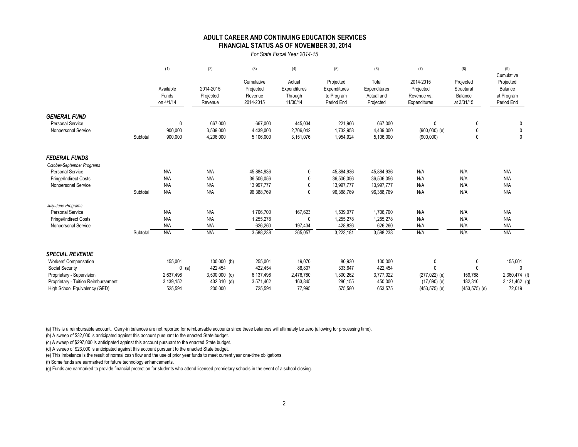|                                     |          | (1)                             | (2)                               | (3)                                             | (4)                                           | (5)                                                   | (6)                                              | (7)                                                   | (8)                                              | (9)<br>Cumulative                                       |
|-------------------------------------|----------|---------------------------------|-----------------------------------|-------------------------------------------------|-----------------------------------------------|-------------------------------------------------------|--------------------------------------------------|-------------------------------------------------------|--------------------------------------------------|---------------------------------------------------------|
|                                     |          | Available<br>Funds<br>on 4/1/14 | 2014-2015<br>Projected<br>Revenue | Cumulative<br>Projected<br>Revenue<br>2014-2015 | Actual<br>Expenditures<br>Through<br>11/30/14 | Projected<br>Expenditures<br>to Program<br>Period End | Total<br>Expenditures<br>Actual and<br>Projected | 2014-2015<br>Projected<br>Revenue vs.<br>Expenditures | Projected<br>Structural<br>Balance<br>at 3/31/15 | Projected<br><b>Balance</b><br>at Program<br>Period End |
| <b>GENERAL FUND</b>                 |          |                                 |                                   |                                                 |                                               |                                                       |                                                  |                                                       |                                                  |                                                         |
| <b>Personal Service</b>             |          | $\mathbf 0$                     | 667,000                           | 667,000                                         | 445,034                                       | 221,966                                               | 667,000                                          | $\mathbf 0$                                           | -0                                               |                                                         |
| Nonpersonal Service                 |          | 900,000                         | 3,539,000                         | 4,439,000                                       | 2,706,042                                     | 1,732,958                                             | 4,439,000                                        | $(900,000)$ (e)                                       | 0                                                |                                                         |
|                                     | Subtotal | 900,000                         | 4,206,000                         | 5,106,000                                       | 3,151,076                                     | 1,954,924                                             | 5,106,000                                        | (900,000)                                             | $\mathbf{0}$                                     | $\mathbf{0}$                                            |
| <b>FEDERAL FUNDS</b>                |          |                                 |                                   |                                                 |                                               |                                                       |                                                  |                                                       |                                                  |                                                         |
| October-September Programs          |          |                                 |                                   |                                                 |                                               |                                                       |                                                  |                                                       |                                                  |                                                         |
| <b>Personal Service</b>             |          | N/A                             | N/A                               | 45,884,936                                      | $\mathbf 0$                                   | 45,884,936                                            | 45,884,936                                       | N/A                                                   | N/A                                              | N/A                                                     |
| <b>Fringe/Indirect Costs</b>        |          | N/A                             | N/A                               | 36,506,056                                      | 0                                             | 36,506,056                                            | 36,506,056                                       | N/A                                                   | N/A                                              | N/A                                                     |
| Nonpersonal Service                 |          | N/A                             | N/A                               | 13,997,777                                      | $\mathbf 0$                                   | 13,997,777                                            | 13,997,777                                       | N/A                                                   | N/A                                              | N/A                                                     |
|                                     | Subtotal | N/A                             | N/A                               | 96,388,769                                      | $\mathbf 0$                                   | 96,388,769                                            | 96,388,769                                       | N/A                                                   | N/A                                              | N/A                                                     |
| July-June Programs                  |          |                                 |                                   |                                                 |                                               |                                                       |                                                  |                                                       |                                                  |                                                         |
| <b>Personal Service</b>             |          | N/A                             | N/A                               | 1,706,700                                       | 167,623                                       | 1,539,077                                             | 1,706,700                                        | N/A                                                   | N/A                                              | N/A                                                     |
| <b>Fringe/Indirect Costs</b>        |          | N/A                             | N/A                               | 1,255,278                                       | 0                                             | 1,255,278                                             | 1,255,278                                        | N/A                                                   | N/A                                              | N/A                                                     |
| Nonpersonal Service                 |          | N/A                             | N/A                               | 626,260                                         | 197,434                                       | 428,826                                               | 626,260                                          | N/A                                                   | N/A                                              | N/A                                                     |
|                                     | Subtotal | N/A                             | N/A                               | 3,588,238                                       | 365,057                                       | 3,223,181                                             | 3,588,238                                        | N/A                                                   | N/A                                              | N/A                                                     |
| <b>SPECIAL REVENUE</b>              |          |                                 |                                   |                                                 |                                               |                                                       |                                                  |                                                       |                                                  |                                                         |
| <b>Workers' Compensation</b>        |          | 155,001                         | $100,000$ (b)                     | 255,001                                         | 19,070                                        | 80,930                                                | 100,000                                          | $\pmb{0}$                                             | $\overline{0}$                                   | 155,001                                                 |
| <b>Social Security</b>              |          | $0$ (a)                         | 422,454                           | 422,454                                         | 88,807                                        | 333,647                                               | 422,454                                          | $\mathbf{0}$                                          | $\overline{0}$                                   |                                                         |
| Proprietary - Supervision           |          | 2,637,496                       | $3,500,000$ (c)                   | 6,137,496                                       | 2,476,760                                     | 1,300,262                                             | 3,777,022                                        | $(277, 022)$ (e)                                      | 159,768                                          | 2,360,474 (f)                                           |
| Proprietary - Tuition Reimbursement |          | 3,139,152                       | 432,310 (d)                       | 3,571,462                                       | 163,845                                       | 286,155                                               | 450,000                                          | $(17,690)$ (e)                                        | 182,310                                          | $3,121,462$ (g)                                         |
| High School Equivalency (GED)       |          | 525,594                         | 200,000                           | 725,594                                         | 77,995                                        | 575,580                                               | 653,575                                          | $(453, 575)$ (e)                                      | $(453, 575)$ (e)                                 | 72,019                                                  |

(a) This is a reimbursable account. Carry-in balances are not reported for reimbursable accounts since these balances will ultimately be zero (allowing for processing time).

(b) A sweep of \$32,000 is anticipated against this account pursuant to the enacted State budget.

(c) A sweep of \$297,000 is anticipated against this account pursuant to the enacted State budget.

(e) This imbalance is the result of normal cash flow and the use of prior year funds to meet current year one-time obligations.

(f) Some funds are earmarked for future technology enhancements.

(g) Funds are earmarked to provide financial protection for students who attend licensed proprietary schools in the event of a school closing.

### **FINANCIAL STATUS AS OF NOVEMBER 30, 2014 ADULT CAREER AND CONTINUING EDUCATION SERVICES**

*For State Fiscal Year 2014-15*

(d) A sweep of \$23,000 is anticipated against this account pursuant to the enacted State budget.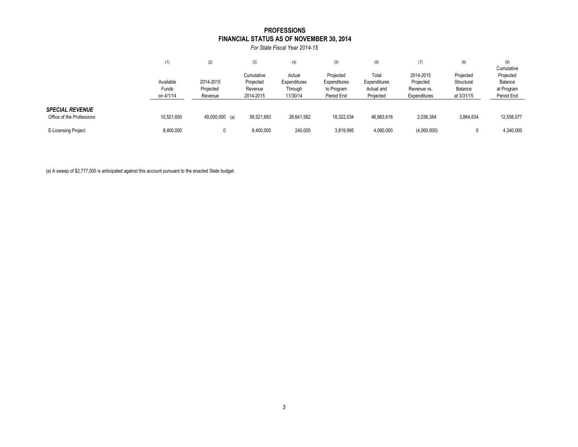| (7)                 | (8)        | (9)            |
|---------------------|------------|----------------|
|                     |            | Cumulative     |
| 2014-2015           | Projected  | Projected      |
| Projected           | Structural | <b>Balance</b> |
| Revenue vs.         | Balance    | at Program     |
| <b>Expenditures</b> | at 3/31/15 | Period End     |
|                     |            |                |
|                     |            |                |
| 2,036,384           | 3,864,634  | 12,558,077     |
|                     |            |                |
| (4,060,000)         | 0          | 4,340,000      |
|                     |            |                |

|                                                     | (1)                             | (2)                               | (3)                                             | (4)                                           | (5)                                                   | (6)                                              | (7)                                                   | (8)                                              | (9)<br>Cumulative                                |  |
|-----------------------------------------------------|---------------------------------|-----------------------------------|-------------------------------------------------|-----------------------------------------------|-------------------------------------------------------|--------------------------------------------------|-------------------------------------------------------|--------------------------------------------------|--------------------------------------------------|--|
|                                                     | Available<br>Funds<br>on 4/1/14 | 2014-2015<br>Projected<br>Revenue | Cumulative<br>Projected<br>Revenue<br>2014-2015 | Actual<br>Expenditures<br>Through<br>11/30/14 | Projected<br>Expenditures<br>to Program<br>Period End | Total<br>Expenditures<br>Actual and<br>Projected | 2014-2015<br>Projected<br>Revenue vs.<br>Expenditures | Projected<br>Structural<br>Balance<br>at 3/31/15 | Projected<br>Balance<br>at Program<br>Period End |  |
| <b>SPECIAL REVENUE</b><br>Office of the Professions | 10,521,693                      | 49,000,000 (a)                    | 59,521,693                                      | 28,641,582                                    | 18,322,034                                            | 46,963,616                                       | 2,036,384                                             | 3,864,634                                        | 12,558,077                                       |  |
| <b>E-Licensing Project</b>                          | 8,400,000                       |                                   | 8,400,000                                       | 240,005                                       | 3,819,995                                             | 4,060,000                                        | (4,060,000)                                           | 0                                                | 4,340,000                                        |  |

(a) A sweep of \$2,777,000 is anticipated against this account pursuant to the enacted State budget.

## **FINANCIAL STATUS AS OF NOVEMBER 30, 2014 PROFESSIONS**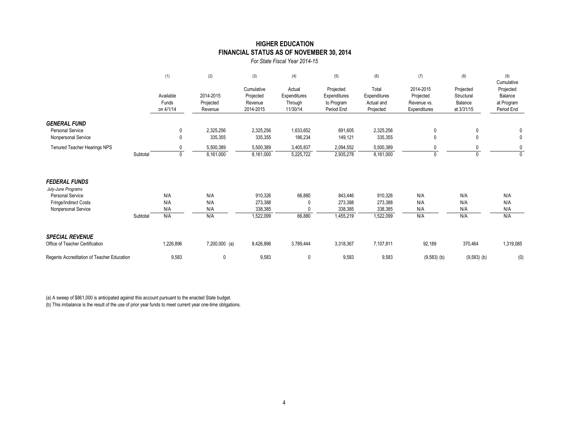|                                                |          | (1)                             | (2)                               | (3)                                             | (4)                                           | (5)                                                   | (6)                                              | (7)                                                   | (8)                                              | (9)<br>Cumulative                                |
|------------------------------------------------|----------|---------------------------------|-----------------------------------|-------------------------------------------------|-----------------------------------------------|-------------------------------------------------------|--------------------------------------------------|-------------------------------------------------------|--------------------------------------------------|--------------------------------------------------|
|                                                |          | Available<br>Funds<br>on 4/1/14 | 2014-2015<br>Projected<br>Revenue | Cumulative<br>Projected<br>Revenue<br>2014-2015 | Actual<br>Expenditures<br>Through<br>11/30/14 | Projected<br>Expenditures<br>to Program<br>Period End | Total<br>Expenditures<br>Actual and<br>Projected | 2014-2015<br>Projected<br>Revenue vs.<br>Expenditures | Projected<br>Structural<br>Balance<br>at 3/31/15 | Projected<br>Balance<br>at Program<br>Period End |
| <b>GENERAL FUND</b>                            |          |                                 |                                   |                                                 |                                               |                                                       |                                                  |                                                       |                                                  |                                                  |
| <b>Personal Service</b><br>Nonpersonal Service |          | $\pmb{0}$<br>0                  | 2,325,256<br>335,355              | 2,325,256<br>335,355                            | 1,633,652<br>186,234                          | 691,605<br>149,121                                    | 2,325,256<br>335,355                             | $\mathbf 0$<br>$\mathbf{0}$                           | $\mathbf 0$<br>$\mathbf 0$                       | $\mathbf 0$<br>$\mathbf 0$                       |
| <b>Tenured Teacher Hearings NPS</b>            | Subtotal | $\mathbf 0$                     | 5,500,389<br>8,161,000            | 5,500,389<br>8,161,000                          | 3,405,837<br>5,225,722                        | 2,094,552<br>2,935,278                                | 5,500,389<br>8,161,000                           | $\Omega$                                              | 0<br>$\mathbf{0}$                                | $\mathbf 0$<br>$\mathbf{0}$                      |
| <b>FEDERAL FUNDS</b>                           |          |                                 |                                   |                                                 |                                               |                                                       |                                                  |                                                       |                                                  |                                                  |
| July-June Programs<br><b>Personal Service</b>  |          | N/A                             | N/A                               | 910,326                                         | 66,880                                        | 843,446                                               | 910,326                                          | N/A                                                   | N/A                                              | N/A                                              |
| <b>Fringe/Indirect Costs</b>                   |          | N/A                             | N/A                               | 273,388                                         |                                               | 273,388                                               | 273,388                                          | N/A                                                   | N/A                                              | N/A                                              |
| Nonpersonal Service                            | Subtotal | N/A<br>N/A                      | N/A<br>N/A                        | 338,385<br>1,522,099                            | 66,880                                        | 338,385<br>1,455,219                                  | 338,385<br>1,522,099                             | N/A<br>N/A                                            | N/A<br>N/A                                       | N/A<br>N/A                                       |
| <b>SPECIAL REVENUE</b>                         |          |                                 |                                   |                                                 |                                               |                                                       |                                                  |                                                       |                                                  |                                                  |
| Office of Teacher Certification                |          | 1,226,896                       | $7,200,000$ (a)                   | 8,426,896                                       | 3,789,444                                     | 3,318,367                                             | 7,107,811                                        | 92,189                                                | 370,464                                          | 1,319,085                                        |
| Regents Accreditation of Teacher Education     |          | 9,583                           | 0                                 | 9,583                                           | $\pmb{0}$                                     | 9,583                                                 | 9,583                                            | $(9,583)$ (b)                                         | $(9,583)$ (b)                                    | (0)                                              |

(a) A sweep of \$861,000 is anticipated against this account pursuant to the enacted State budget.

(b) This imbalance is the result of the use of prior year funds to meet current year one-time obligations.

*For State Fiscal Year 2014-15*

## **FINANCIAL STATUS AS OF NOVEMBER 30, 2014 HIGHER EDUCATION**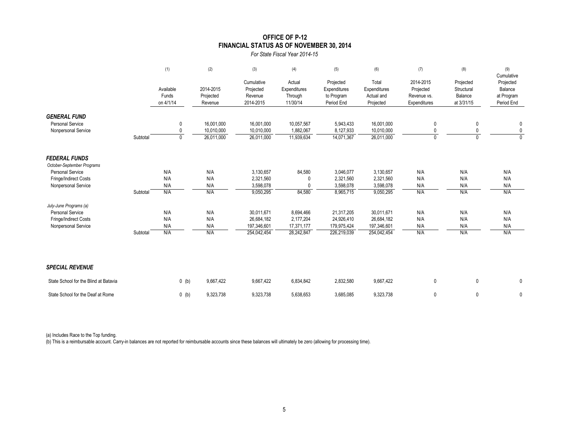|                                                    |          | (1)                             | (2)                               | (3)                                             | (4)                                           | (5)                                                          | (6)                                              | (7)                                                   | (8)                                              | (9)<br>Cumulative                                       |
|----------------------------------------------------|----------|---------------------------------|-----------------------------------|-------------------------------------------------|-----------------------------------------------|--------------------------------------------------------------|--------------------------------------------------|-------------------------------------------------------|--------------------------------------------------|---------------------------------------------------------|
|                                                    |          | Available<br>Funds<br>on 4/1/14 | 2014-2015<br>Projected<br>Revenue | Cumulative<br>Projected<br>Revenue<br>2014-2015 | Actual<br>Expenditures<br>Through<br>11/30/14 | Projected<br><b>Expenditures</b><br>to Program<br>Period End | Total<br>Expenditures<br>Actual and<br>Projected | 2014-2015<br>Projected<br>Revenue vs.<br>Expenditures | Projected<br>Structural<br>Balance<br>at 3/31/15 | Projected<br><b>Balance</b><br>at Program<br>Period End |
| <b>GENERAL FUND</b>                                |          |                                 |                                   |                                                 |                                               |                                                              |                                                  |                                                       |                                                  |                                                         |
| <b>Personal Service</b>                            |          | $\overline{0}$                  | 16,001,000                        | 16,001,000                                      | 10,057,567                                    | 5,943,433                                                    | 16,001,000                                       | $\pmb{0}$                                             | $\boldsymbol{0}$                                 | $\boldsymbol{0}$                                        |
| Nonpersonal Service                                |          | $\mathbf 0$                     | 10,010,000                        | 10,010,000                                      | 1,882,067                                     | 8,127,933                                                    | 10,010,000                                       | $\mathbf 0$                                           | 0                                                | $\overline{0}$                                          |
|                                                    | Subtotal | $\mathbf 0$                     | 26,011,000                        | 26,011,000                                      | 11,939,634                                    | 14,071,367                                                   | 26,011,000                                       | $\mathbf 0$                                           | $\mathbf 0$                                      | $\mathbf 0$                                             |
| <b>FEDERAL FUNDS</b><br>October-September Programs |          |                                 |                                   |                                                 |                                               |                                                              |                                                  |                                                       |                                                  |                                                         |
| <b>Personal Service</b>                            |          | N/A                             | N/A                               | 3,130,657                                       | 84,580                                        | 3,046,077                                                    | 3,130,657                                        | N/A                                                   | N/A                                              | N/A                                                     |
| <b>Fringe/Indirect Costs</b>                       |          | N/A                             | N/A                               | 2,321,560                                       |                                               | 2,321,560                                                    | 2,321,560                                        | N/A                                                   | N/A                                              | N/A                                                     |
| Nonpersonal Service                                |          | N/A                             | N/A                               | 3,598,078                                       |                                               | 3,598,078                                                    | 3,598,078                                        | N/A                                                   | N/A                                              | N/A                                                     |
|                                                    | Subtotal | N/A                             | N/A                               | 9,050,295                                       | 84,580                                        | 8,965,715                                                    | 9,050,295                                        | N/A                                                   | N/A                                              | N/A                                                     |
| July-June Programs (a)                             |          |                                 |                                   |                                                 |                                               |                                                              |                                                  |                                                       |                                                  |                                                         |
| <b>Personal Service</b>                            |          | N/A                             | N/A                               | 30,011,671                                      | 8,694,466                                     | 21,317,205                                                   | 30,011,671                                       | N/A                                                   | N/A                                              | N/A                                                     |
| <b>Fringe/Indirect Costs</b>                       |          | N/A                             | N/A                               | 26,684,182                                      | 2,177,204                                     | 24,926,410                                                   | 26,684,182                                       | N/A                                                   | N/A                                              | N/A                                                     |
| Nonpersonal Service                                |          | N/A                             | N/A                               | 197,346,601                                     | 17,371,177                                    | 179,975,424                                                  | 197,346,601                                      | N/A                                                   | N/A                                              | N/A                                                     |
|                                                    | Subtotal | N/A                             | N/A                               | 254,042,454                                     | 28,242,847                                    | 226,219,039                                                  | 254,042,454                                      | N/A                                                   | N/A                                              | N/A                                                     |
| <b>SPECIAL REVENUE</b>                             |          |                                 |                                   |                                                 |                                               |                                                              |                                                  |                                                       |                                                  |                                                         |
| State School for the Blind at Batavia              |          | $0$ (b)                         | 9,667,422                         | 9,667,422                                       | 6,834,842                                     | 2,832,580                                                    | 9,667,422                                        | $\pmb{0}$                                             | $\pmb{0}$                                        | $\bm{0}$                                                |
| State School for the Deaf at Rome                  |          | $0$ (b)                         | 9,323,738                         | 9,323,738                                       | 5,638,653                                     | 3,685,085                                                    | 9,323,738                                        | $\mathbf{0}$                                          | $\pmb{0}$                                        | $\mathbf 0$                                             |

(a) Includes Race to the Top funding.

(b) This is a reimbursable account. Carry-in balances are not reported for reimbursable accounts since these balances will ultimately be zero (allowing for processing time).

# **OFFICE OF P-12 FINANCIAL STATUS AS OF NOVEMBER 30, 2014**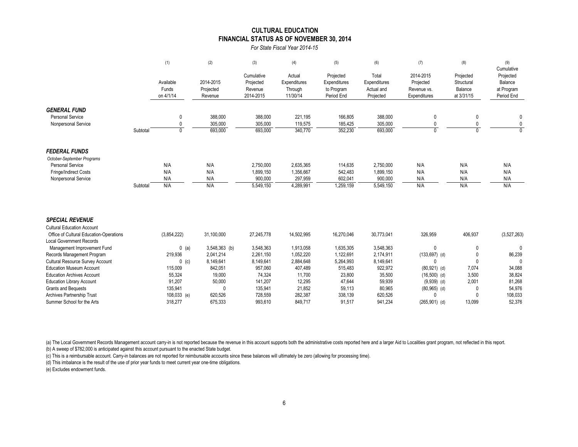|                                                                                   |          | (1)                             | (2)                               | (3)                                             | (4)                                           | (5)                                                          | (6)                                                     | (7)                                                   | (8)                                              | (9)<br>Cumulative                                       |
|-----------------------------------------------------------------------------------|----------|---------------------------------|-----------------------------------|-------------------------------------------------|-----------------------------------------------|--------------------------------------------------------------|---------------------------------------------------------|-------------------------------------------------------|--------------------------------------------------|---------------------------------------------------------|
|                                                                                   |          | Available<br>Funds<br>on 4/1/14 | 2014-2015<br>Projected<br>Revenue | Cumulative<br>Projected<br>Revenue<br>2014-2015 | Actual<br>Expenditures<br>Through<br>11/30/14 | Projected<br><b>Expenditures</b><br>to Program<br>Period End | Total<br><b>Expenditures</b><br>Actual and<br>Projected | 2014-2015<br>Projected<br>Revenue vs.<br>Expenditures | Projected<br>Structural<br>Balance<br>at 3/31/15 | Projected<br><b>Balance</b><br>at Program<br>Period End |
| <b>GENERAL FUND</b>                                                               |          |                                 |                                   |                                                 |                                               |                                                              |                                                         |                                                       |                                                  |                                                         |
| <b>Personal Service</b>                                                           |          | $\overline{0}$                  | 388,000                           | 388,000                                         | 221,195                                       | 166,805                                                      | 388,000                                                 |                                                       | 0                                                |                                                         |
| Nonpersonal Service                                                               |          | $\mathbf 0$                     | 305,000                           | 305,000                                         | 119,575                                       | 185,425                                                      | 305,000                                                 |                                                       |                                                  | $\mathbf 0$                                             |
|                                                                                   | Subtotal | $\Omega$                        | 693,000                           | 693,000                                         | 340,770                                       | 352,230                                                      | 693,000                                                 | ∩                                                     |                                                  | $\mathbf{0}$                                            |
| <b>FEDERAL FUNDS</b>                                                              |          |                                 |                                   |                                                 |                                               |                                                              |                                                         |                                                       |                                                  |                                                         |
| October-September Programs                                                        |          |                                 |                                   |                                                 |                                               |                                                              |                                                         |                                                       |                                                  |                                                         |
| <b>Personal Service</b>                                                           |          | N/A                             | N/A                               | 2,750,000                                       | 2,635,365                                     | 114,635                                                      | 2,750,000                                               | N/A                                                   | N/A                                              | N/A                                                     |
| <b>Fringe/Indirect Costs</b>                                                      |          | N/A                             | N/A                               | 1,899,150                                       | 1,356,667                                     | 542,483                                                      | 1,899,150                                               | N/A                                                   | N/A                                              | N/A                                                     |
| Nonpersonal Service                                                               |          | N/A                             | N/A                               | 900,000                                         | 297,959                                       | 602,041                                                      | 900,000                                                 | N/A                                                   | N/A                                              | N/A                                                     |
|                                                                                   | Subtotal | N/A                             | N/A                               | 5,549,150                                       | 4,289,991                                     | 1,259,159                                                    | 5,549,150                                               | N/A                                                   | N/A                                              | N/A                                                     |
| <b>SPECIAL REVENUE</b>                                                            |          |                                 |                                   |                                                 |                                               |                                                              |                                                         |                                                       |                                                  |                                                         |
| <b>Cultural Education Account</b>                                                 |          |                                 |                                   |                                                 |                                               |                                                              |                                                         |                                                       |                                                  |                                                         |
| <b>Office of Cultural Education-Operations</b><br><b>Local Government Records</b> |          | (3,854,222)                     | 31,100,000                        | 27,245,778                                      | 14,502,995                                    | 16,270,046                                                   | 30,773,041                                              | 326,959                                               | 406,937                                          | (3,527,263)                                             |
| Management Improvement Fund                                                       |          | $0$ (a)                         | $3,548,363$ (b)                   | 3,548,363                                       | 1,913,058                                     | 1,635,305                                                    | 3,548,363                                               | $\boldsymbol{0}$                                      | $\pmb{0}$                                        | $\mathbf 0$                                             |
| Records Management Program                                                        |          | 219,936                         | 2,041,214                         | 2,261,150                                       | 1,052,220                                     | 1,122,691                                                    | 2,174,911                                               | $(133, 697)$ (d)                                      |                                                  | 86,239                                                  |
| <b>Cultural Resource Survey Account</b>                                           |          | $0$ (c)                         | 8,149,641                         | 8,149,641                                       | 2,884,648                                     | 5,264,993                                                    | 8,149,641                                               |                                                       |                                                  |                                                         |
| <b>Education Museum Account</b>                                                   |          | 115,009                         | 842,051                           | 957,060                                         | 407,489                                       | 515,483                                                      | 922,972                                                 | $(80, 921)$ (d)                                       | 7,074                                            | 34,088                                                  |
| <b>Education Archives Account</b>                                                 |          | 55,324                          | 19,000                            | 74,324                                          | 11,700                                        | 23,800                                                       | 35,500                                                  | $(16,500)$ (d)                                        | 3,500                                            | 38,824                                                  |
| <b>Education Library Account</b>                                                  |          | 91,207                          | 50,000                            | 141,207                                         | 12,295                                        | 47,644                                                       | 59,939                                                  | $(9,939)$ (d)                                         | 2,001                                            | 81,268                                                  |
| <b>Grants and Bequests</b>                                                        |          | 135,941                         |                                   | 135,941                                         | 21,852                                        | 59,113                                                       | 80,965                                                  | $(80,965)$ (d)                                        |                                                  | 54,976                                                  |
| <b>Archives Partnership Trust</b>                                                 |          | $108,033$ (e)                   | 620,526                           | 728,559                                         | 282,387                                       | 338,139                                                      | 620,526                                                 |                                                       | 0                                                | 108,033                                                 |
| Summer School for the Arts                                                        |          | 318,277                         | 675,333                           | 993,610                                         | 849,717                                       | 91,517                                                       | 941,234                                                 | $(265,901)$ (d)                                       | 13,099                                           | 52,376                                                  |

(a) The Local Government Records Management account carry-in is not reported because the revenue in this account supports both the administrative costs reported here and a larger Aid to Localities grant program, not reflec (b) A sweep of \$782,000 is anticipated against this account pursuant to the enacted State budget.

(c) This is a reimbursable account. Carry-in balances are not reported for reimbursable accounts since these balances will ultimately be zero (allowing for processing time).

(d) This imbalance is the result of the use of prior year funds to meet current year one-time obligations.

(e) Excludes endowment funds.

### **CULTURAL EDUCATION FINANCIAL STATUS AS OF NOVEMBER 30, 2014**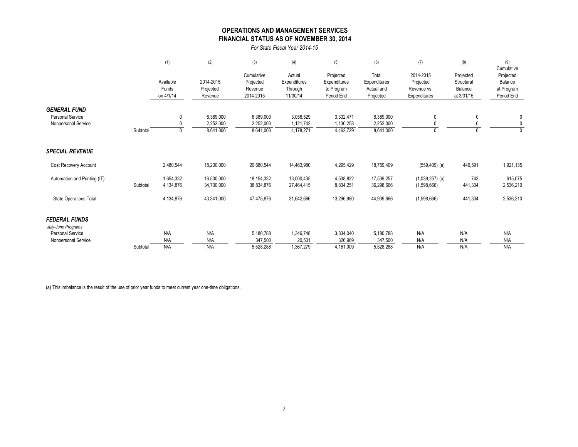|                                                                       |          | (1)                             | (2)                                 | (3)                                             | (4)                                           | (5)                                                   | (6)                                              | (7)                                                   | (8)                                              | (9)<br>Cumulative                                |
|-----------------------------------------------------------------------|----------|---------------------------------|-------------------------------------|-------------------------------------------------|-----------------------------------------------|-------------------------------------------------------|--------------------------------------------------|-------------------------------------------------------|--------------------------------------------------|--------------------------------------------------|
|                                                                       |          | Available<br>Funds<br>on 4/1/14 | 2014-2015<br>Projected<br>Revenue   | Cumulative<br>Projected<br>Revenue<br>2014-2015 | Actual<br>Expenditures<br>Through<br>11/30/14 | Projected<br>Expenditures<br>to Program<br>Period End | Total<br>Expenditures<br>Actual and<br>Projected | 2014-2015<br>Projected<br>Revenue vs.<br>Expenditures | Projected<br>Structural<br>Balance<br>at 3/31/15 | Projected<br>Balance<br>at Program<br>Period End |
| <b>GENERAL FUND</b><br><b>Personal Service</b><br>Nonpersonal Service | Subtotal | $\mathbf{0}$<br>$\Omega$        | 6,389,000<br>2,252,000<br>8,641,000 | 6,389,000<br>2,252,000<br>8,641,000             | 3,056,529<br>1,121,742<br>4,178,271           | 3,332,471<br>1,130,258<br>4,462,729                   | 6,389,000<br>2,252,000<br>8,641,000              | $\mathbf 0$<br>$\mathbf{0}$                           | $\pmb{0}$                                        | $\mathbf 0$<br>$\mathbf 0$<br>$\Omega$           |
| <b>SPECIAL REVENUE</b>                                                |          |                                 |                                     |                                                 |                                               |                                                       |                                                  |                                                       |                                                  |                                                  |
| <b>Cost Recovery Account</b>                                          |          | 2,480,544                       | 18,200,000                          | 20,680,544                                      | 14,463,980                                    | 4,295,429                                             | 18,759,409                                       | $(559, 409)$ (a)                                      | 440,591                                          | 1,921,135                                        |
| Automation and Printing (IT)                                          | Subtotal | 1,654,332<br>4,134,876          | 16,500,000<br>34,700,000            | 18, 154, 332<br>38,834,876                      | 13,000,435<br>27,464,415                      | 4,538,822<br>8,834,251                                | 17,539,257<br>36,298,666                         | $(1,039,257)$ (a)<br>(1,598,666)                      | 743<br>441,334                                   | 615,075<br>2,536,210                             |
| <b>State Operations Total:</b>                                        |          | 4,134,876                       | 43,341,000                          | 47,475,876                                      | 31,642,686                                    | 13,296,980                                            | 44,939,666                                       | (1,598,666)                                           | 441,334                                          | 2,536,210                                        |
| <b>FEDERAL FUNDS</b><br>July-June Programs                            |          |                                 |                                     |                                                 |                                               |                                                       |                                                  |                                                       |                                                  |                                                  |
| <b>Personal Service</b><br>Nonpersonal Service                        | Subtotal | N/A<br>N/A<br>N/A               | N/A<br>N/A<br>N/A                   | 5,180,788<br>347,500<br>5,528,288               | 1,346,748<br>20,531<br>1,367,279              | 3,834,040<br>326,969<br>4,161,009                     | 5,180,788<br>347,500<br>5,528,288                | N/A<br>N/A<br>N/A                                     | N/A<br>N/A<br>N/A                                | N/A<br>N/A<br>N/A                                |
|                                                                       |          |                                 |                                     |                                                 |                                               |                                                       |                                                  |                                                       |                                                  |                                                  |

(a) This imbalance is the result of the use of prior year funds to meet current year one-time obligations.

## **FINANCIAL STATUS AS OF NOVEMBER 30, 2014 OPERATIONS AND MANAGEMENT SERVICES**